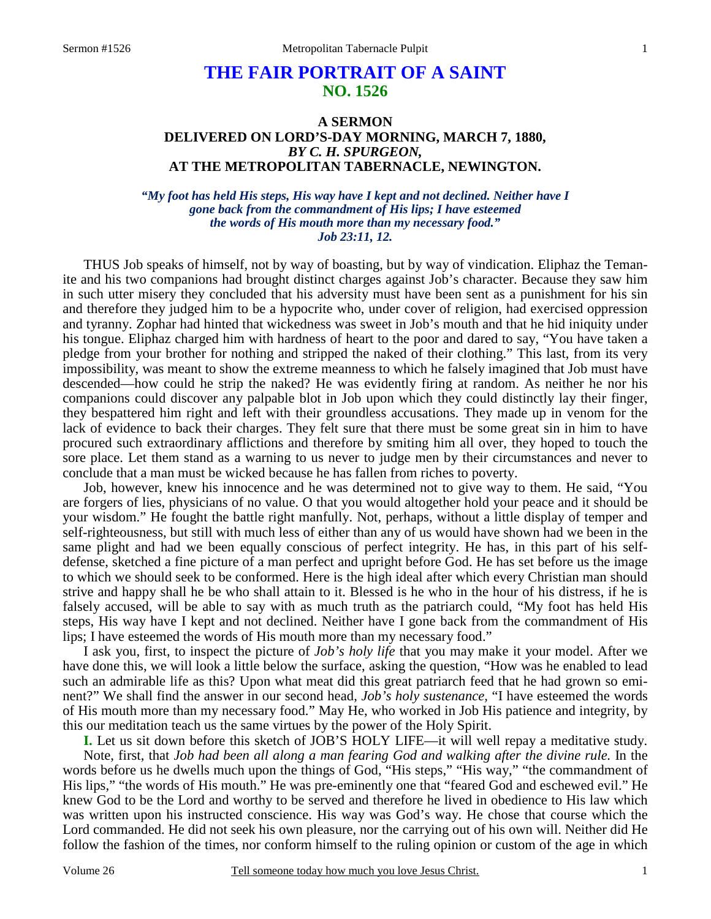## **THE FAIR PORTRAIT OF A SAINT NO. 1526**

## **A SERMON DELIVERED ON LORD'S-DAY MORNING, MARCH 7, 1880,**  *BY C. H. SPURGEON,*  **AT THE METROPOLITAN TABERNACLE, NEWINGTON.**

*"My foot has held His steps, His way have I kept and not declined. Neither have I gone back from the commandment of His lips; I have esteemed the words of His mouth more than my necessary food." Job 23:11, 12.* 

THUS Job speaks of himself, not by way of boasting, but by way of vindication. Eliphaz the Temanite and his two companions had brought distinct charges against Job's character. Because they saw him in such utter misery they concluded that his adversity must have been sent as a punishment for his sin and therefore they judged him to be a hypocrite who, under cover of religion, had exercised oppression and tyranny. Zophar had hinted that wickedness was sweet in Job's mouth and that he hid iniquity under his tongue. Eliphaz charged him with hardness of heart to the poor and dared to say, "You have taken a pledge from your brother for nothing and stripped the naked of their clothing." This last, from its very impossibility, was meant to show the extreme meanness to which he falsely imagined that Job must have descended—how could he strip the naked? He was evidently firing at random. As neither he nor his companions could discover any palpable blot in Job upon which they could distinctly lay their finger, they bespattered him right and left with their groundless accusations. They made up in venom for the lack of evidence to back their charges. They felt sure that there must be some great sin in him to have procured such extraordinary afflictions and therefore by smiting him all over, they hoped to touch the sore place. Let them stand as a warning to us never to judge men by their circumstances and never to conclude that a man must be wicked because he has fallen from riches to poverty.

 Job, however, knew his innocence and he was determined not to give way to them. He said, "You are forgers of lies, physicians of no value. O that you would altogether hold your peace and it should be your wisdom." He fought the battle right manfully. Not, perhaps, without a little display of temper and self-righteousness, but still with much less of either than any of us would have shown had we been in the same plight and had we been equally conscious of perfect integrity. He has, in this part of his selfdefense, sketched a fine picture of a man perfect and upright before God. He has set before us the image to which we should seek to be conformed. Here is the high ideal after which every Christian man should strive and happy shall he be who shall attain to it. Blessed is he who in the hour of his distress, if he is falsely accused, will be able to say with as much truth as the patriarch could, "My foot has held His steps, His way have I kept and not declined. Neither have I gone back from the commandment of His lips; I have esteemed the words of His mouth more than my necessary food."

 I ask you, first, to inspect the picture of *Job's holy life* that you may make it your model. After we have done this, we will look a little below the surface, asking the question, "How was he enabled to lead such an admirable life as this? Upon what meat did this great patriarch feed that he had grown so eminent?" We shall find the answer in our second head, *Job's holy sustenance,* "I have esteemed the words of His mouth more than my necessary food." May He, who worked in Job His patience and integrity, by this our meditation teach us the same virtues by the power of the Holy Spirit.

**I.** Let us sit down before this sketch of JOB'S HOLY LIFE—it will well repay a meditative study. Note, first, that *Job had been all along a man fearing God and walking after the divine rule.* In the words before us he dwells much upon the things of God, "His steps," "His way," "the commandment of His lips," "the words of His mouth." He was pre-eminently one that "feared God and eschewed evil." He knew God to be the Lord and worthy to be served and therefore he lived in obedience to His law which was written upon his instructed conscience. His way was God's way. He chose that course which the Lord commanded. He did not seek his own pleasure, nor the carrying out of his own will. Neither did He follow the fashion of the times, nor conform himself to the ruling opinion or custom of the age in which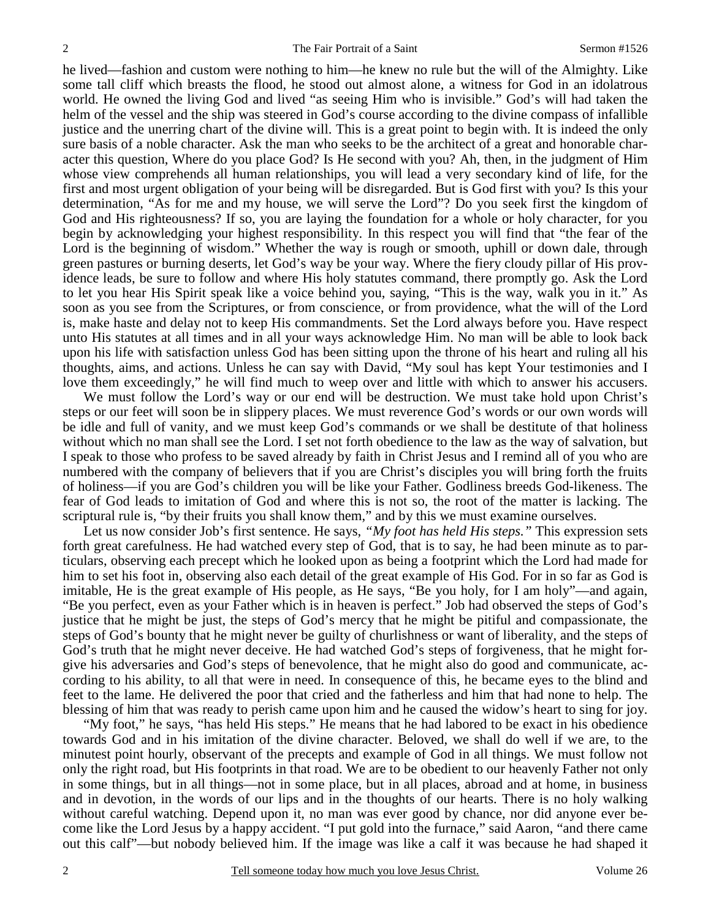he lived—fashion and custom were nothing to him—he knew no rule but the will of the Almighty. Like some tall cliff which breasts the flood, he stood out almost alone, a witness for God in an idolatrous world. He owned the living God and lived "as seeing Him who is invisible." God's will had taken the helm of the vessel and the ship was steered in God's course according to the divine compass of infallible justice and the unerring chart of the divine will. This is a great point to begin with. It is indeed the only sure basis of a noble character. Ask the man who seeks to be the architect of a great and honorable character this question, Where do you place God? Is He second with you? Ah, then, in the judgment of Him whose view comprehends all human relationships, you will lead a very secondary kind of life, for the first and most urgent obligation of your being will be disregarded. But is God first with you? Is this your determination, "As for me and my house, we will serve the Lord"? Do you seek first the kingdom of God and His righteousness? If so, you are laying the foundation for a whole or holy character, for you begin by acknowledging your highest responsibility. In this respect you will find that "the fear of the Lord is the beginning of wisdom." Whether the way is rough or smooth, uphill or down dale, through green pastures or burning deserts, let God's way be your way. Where the fiery cloudy pillar of His providence leads, be sure to follow and where His holy statutes command, there promptly go. Ask the Lord to let you hear His Spirit speak like a voice behind you, saying, "This is the way, walk you in it." As soon as you see from the Scriptures, or from conscience, or from providence, what the will of the Lord is, make haste and delay not to keep His commandments. Set the Lord always before you. Have respect unto His statutes at all times and in all your ways acknowledge Him. No man will be able to look back upon his life with satisfaction unless God has been sitting upon the throne of his heart and ruling all his thoughts, aims, and actions. Unless he can say with David, "My soul has kept Your testimonies and I love them exceedingly," he will find much to weep over and little with which to answer his accusers.

We must follow the Lord's way or our end will be destruction. We must take hold upon Christ's steps or our feet will soon be in slippery places. We must reverence God's words or our own words will be idle and full of vanity, and we must keep God's commands or we shall be destitute of that holiness without which no man shall see the Lord. I set not forth obedience to the law as the way of salvation, but I speak to those who profess to be saved already by faith in Christ Jesus and I remind all of you who are numbered with the company of believers that if you are Christ's disciples you will bring forth the fruits of holiness—if you are God's children you will be like your Father. Godliness breeds God-likeness. The fear of God leads to imitation of God and where this is not so, the root of the matter is lacking. The scriptural rule is, "by their fruits you shall know them," and by this we must examine ourselves.

 Let us now consider Job's first sentence. He says, *"My foot has held His steps."* This expression sets forth great carefulness. He had watched every step of God, that is to say, he had been minute as to particulars, observing each precept which he looked upon as being a footprint which the Lord had made for him to set his foot in, observing also each detail of the great example of His God. For in so far as God is imitable, He is the great example of His people, as He says, "Be you holy, for I am holy"—and again, "Be you perfect, even as your Father which is in heaven is perfect." Job had observed the steps of God's justice that he might be just, the steps of God's mercy that he might be pitiful and compassionate, the steps of God's bounty that he might never be guilty of churlishness or want of liberality, and the steps of God's truth that he might never deceive. He had watched God's steps of forgiveness, that he might forgive his adversaries and God's steps of benevolence, that he might also do good and communicate, according to his ability, to all that were in need. In consequence of this, he became eyes to the blind and feet to the lame. He delivered the poor that cried and the fatherless and him that had none to help. The blessing of him that was ready to perish came upon him and he caused the widow's heart to sing for joy.

 "My foot," he says, "has held His steps." He means that he had labored to be exact in his obedience towards God and in his imitation of the divine character. Beloved, we shall do well if we are, to the minutest point hourly, observant of the precepts and example of God in all things. We must follow not only the right road, but His footprints in that road. We are to be obedient to our heavenly Father not only in some things, but in all things—not in some place, but in all places, abroad and at home, in business and in devotion, in the words of our lips and in the thoughts of our hearts. There is no holy walking without careful watching. Depend upon it, no man was ever good by chance, nor did anyone ever become like the Lord Jesus by a happy accident. "I put gold into the furnace," said Aaron, "and there came out this calf"—but nobody believed him. If the image was like a calf it was because he had shaped it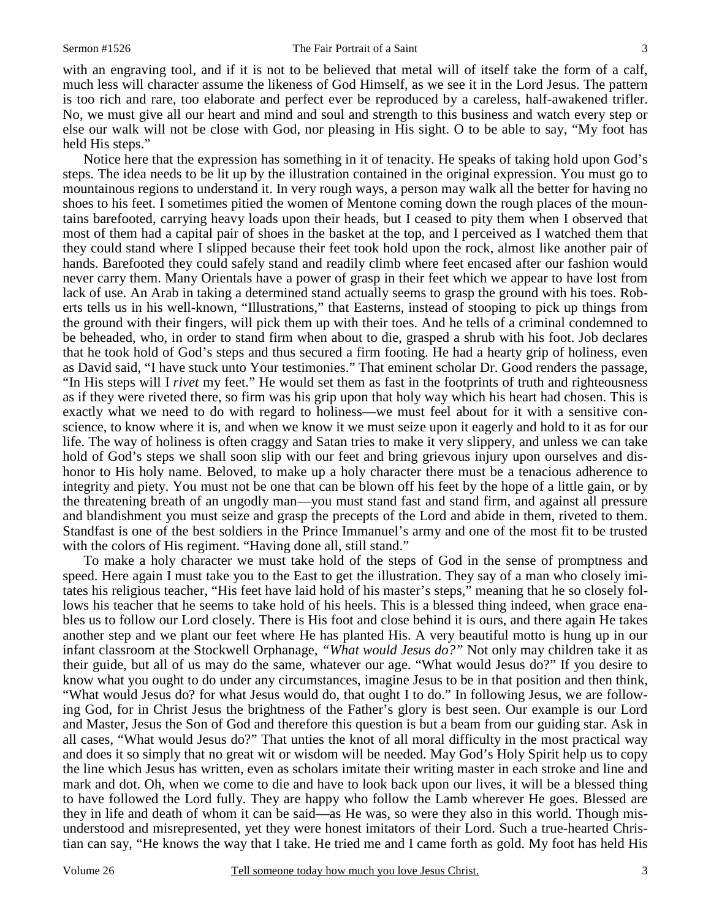with an engraving tool, and if it is not to be believed that metal will of itself take the form of a calf, much less will character assume the likeness of God Himself, as we see it in the Lord Jesus. The pattern is too rich and rare, too elaborate and perfect ever be reproduced by a careless, half-awakened trifler. No, we must give all our heart and mind and soul and strength to this business and watch every step or else our walk will not be close with God, nor pleasing in His sight. O to be able to say, "My foot has held His steps."

 Notice here that the expression has something in it of tenacity. He speaks of taking hold upon God's steps. The idea needs to be lit up by the illustration contained in the original expression. You must go to mountainous regions to understand it. In very rough ways, a person may walk all the better for having no shoes to his feet. I sometimes pitied the women of Mentone coming down the rough places of the mountains barefooted, carrying heavy loads upon their heads, but I ceased to pity them when I observed that most of them had a capital pair of shoes in the basket at the top, and I perceived as I watched them that they could stand where I slipped because their feet took hold upon the rock, almost like another pair of hands. Barefooted they could safely stand and readily climb where feet encased after our fashion would never carry them. Many Orientals have a power of grasp in their feet which we appear to have lost from lack of use. An Arab in taking a determined stand actually seems to grasp the ground with his toes. Roberts tells us in his well-known, "Illustrations," that Easterns, instead of stooping to pick up things from the ground with their fingers, will pick them up with their toes. And he tells of a criminal condemned to be beheaded, who, in order to stand firm when about to die, grasped a shrub with his foot. Job declares that he took hold of God's steps and thus secured a firm footing. He had a hearty grip of holiness, even as David said, "I have stuck unto Your testimonies." That eminent scholar Dr. Good renders the passage, "In His steps will I *rivet* my feet." He would set them as fast in the footprints of truth and righteousness as if they were riveted there, so firm was his grip upon that holy way which his heart had chosen. This is exactly what we need to do with regard to holiness—we must feel about for it with a sensitive conscience, to know where it is, and when we know it we must seize upon it eagerly and hold to it as for our life. The way of holiness is often craggy and Satan tries to make it very slippery, and unless we can take hold of God's steps we shall soon slip with our feet and bring grievous injury upon ourselves and dishonor to His holy name. Beloved, to make up a holy character there must be a tenacious adherence to integrity and piety. You must not be one that can be blown off his feet by the hope of a little gain, or by the threatening breath of an ungodly man—you must stand fast and stand firm, and against all pressure and blandishment you must seize and grasp the precepts of the Lord and abide in them, riveted to them. Standfast is one of the best soldiers in the Prince Immanuel's army and one of the most fit to be trusted with the colors of His regiment. "Having done all, still stand."

 To make a holy character we must take hold of the steps of God in the sense of promptness and speed. Here again I must take you to the East to get the illustration. They say of a man who closely imitates his religious teacher, "His feet have laid hold of his master's steps," meaning that he so closely follows his teacher that he seems to take hold of his heels. This is a blessed thing indeed, when grace enables us to follow our Lord closely. There is His foot and close behind it is ours, and there again He takes another step and we plant our feet where He has planted His. A very beautiful motto is hung up in our infant classroom at the Stockwell Orphanage, *"What would Jesus do?"* Not only may children take it as their guide, but all of us may do the same, whatever our age. "What would Jesus do?" If you desire to know what you ought to do under any circumstances, imagine Jesus to be in that position and then think, "What would Jesus do? for what Jesus would do, that ought I to do." In following Jesus, we are following God, for in Christ Jesus the brightness of the Father's glory is best seen. Our example is our Lord and Master, Jesus the Son of God and therefore this question is but a beam from our guiding star. Ask in all cases, "What would Jesus do?" That unties the knot of all moral difficulty in the most practical way and does it so simply that no great wit or wisdom will be needed. May God's Holy Spirit help us to copy the line which Jesus has written, even as scholars imitate their writing master in each stroke and line and mark and dot. Oh, when we come to die and have to look back upon our lives, it will be a blessed thing to have followed the Lord fully. They are happy who follow the Lamb wherever He goes. Blessed are they in life and death of whom it can be said—as He was, so were they also in this world. Though misunderstood and misrepresented, yet they were honest imitators of their Lord. Such a true-hearted Christian can say, "He knows the way that I take. He tried me and I came forth as gold. My foot has held His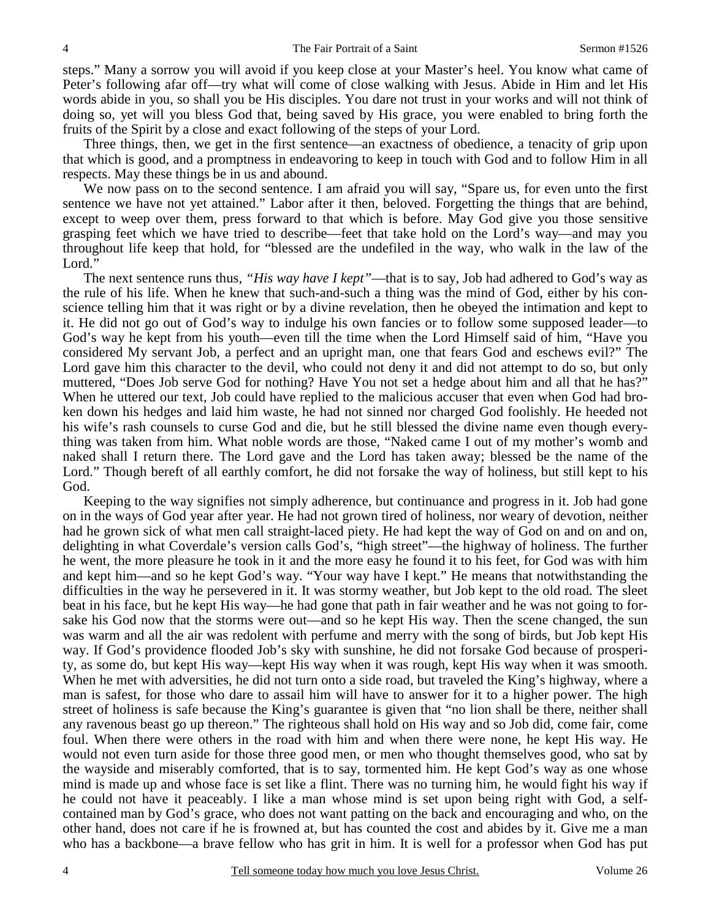steps." Many a sorrow you will avoid if you keep close at your Master's heel. You know what came of Peter's following afar off—try what will come of close walking with Jesus. Abide in Him and let His words abide in you, so shall you be His disciples. You dare not trust in your works and will not think of doing so, yet will you bless God that, being saved by His grace, you were enabled to bring forth the fruits of the Spirit by a close and exact following of the steps of your Lord.

 Three things, then, we get in the first sentence—an exactness of obedience, a tenacity of grip upon that which is good, and a promptness in endeavoring to keep in touch with God and to follow Him in all respects. May these things be in us and abound.

We now pass on to the second sentence. I am afraid you will say, "Spare us, for even unto the first sentence we have not yet attained." Labor after it then, beloved. Forgetting the things that are behind, except to weep over them, press forward to that which is before. May God give you those sensitive grasping feet which we have tried to describe—feet that take hold on the Lord's way—and may you throughout life keep that hold, for "blessed are the undefiled in the way, who walk in the law of the Lord."

 The next sentence runs thus, *"His way have I kept"*—that is to say, Job had adhered to God's way as the rule of his life. When he knew that such-and-such a thing was the mind of God, either by his conscience telling him that it was right or by a divine revelation, then he obeyed the intimation and kept to it. He did not go out of God's way to indulge his own fancies or to follow some supposed leader—to God's way he kept from his youth—even till the time when the Lord Himself said of him, "Have you considered My servant Job, a perfect and an upright man, one that fears God and eschews evil?" The Lord gave him this character to the devil, who could not deny it and did not attempt to do so, but only muttered, "Does Job serve God for nothing? Have You not set a hedge about him and all that he has?" When he uttered our text, Job could have replied to the malicious accuser that even when God had broken down his hedges and laid him waste, he had not sinned nor charged God foolishly. He heeded not his wife's rash counsels to curse God and die, but he still blessed the divine name even though everything was taken from him. What noble words are those, "Naked came I out of my mother's womb and naked shall I return there. The Lord gave and the Lord has taken away; blessed be the name of the Lord." Though bereft of all earthly comfort, he did not forsake the way of holiness, but still kept to his God.

 Keeping to the way signifies not simply adherence, but continuance and progress in it. Job had gone on in the ways of God year after year. He had not grown tired of holiness, nor weary of devotion, neither had he grown sick of what men call straight-laced piety. He had kept the way of God on and on and on, delighting in what Coverdale's version calls God's, "high street"—the highway of holiness. The further he went, the more pleasure he took in it and the more easy he found it to his feet, for God was with him and kept him—and so he kept God's way. "Your way have I kept." He means that notwithstanding the difficulties in the way he persevered in it. It was stormy weather, but Job kept to the old road. The sleet beat in his face, but he kept His way—he had gone that path in fair weather and he was not going to forsake his God now that the storms were out—and so he kept His way. Then the scene changed, the sun was warm and all the air was redolent with perfume and merry with the song of birds, but Job kept His way. If God's providence flooded Job's sky with sunshine, he did not forsake God because of prosperity, as some do, but kept His way—kept His way when it was rough, kept His way when it was smooth. When he met with adversities, he did not turn onto a side road, but traveled the King's highway, where a man is safest, for those who dare to assail him will have to answer for it to a higher power. The high street of holiness is safe because the King's guarantee is given that "no lion shall be there, neither shall any ravenous beast go up thereon." The righteous shall hold on His way and so Job did, come fair, come foul. When there were others in the road with him and when there were none, he kept His way. He would not even turn aside for those three good men, or men who thought themselves good, who sat by the wayside and miserably comforted, that is to say, tormented him. He kept God's way as one whose mind is made up and whose face is set like a flint. There was no turning him, he would fight his way if he could not have it peaceably. I like a man whose mind is set upon being right with God, a selfcontained man by God's grace, who does not want patting on the back and encouraging and who, on the other hand, does not care if he is frowned at, but has counted the cost and abides by it. Give me a man who has a backbone—a brave fellow who has grit in him. It is well for a professor when God has put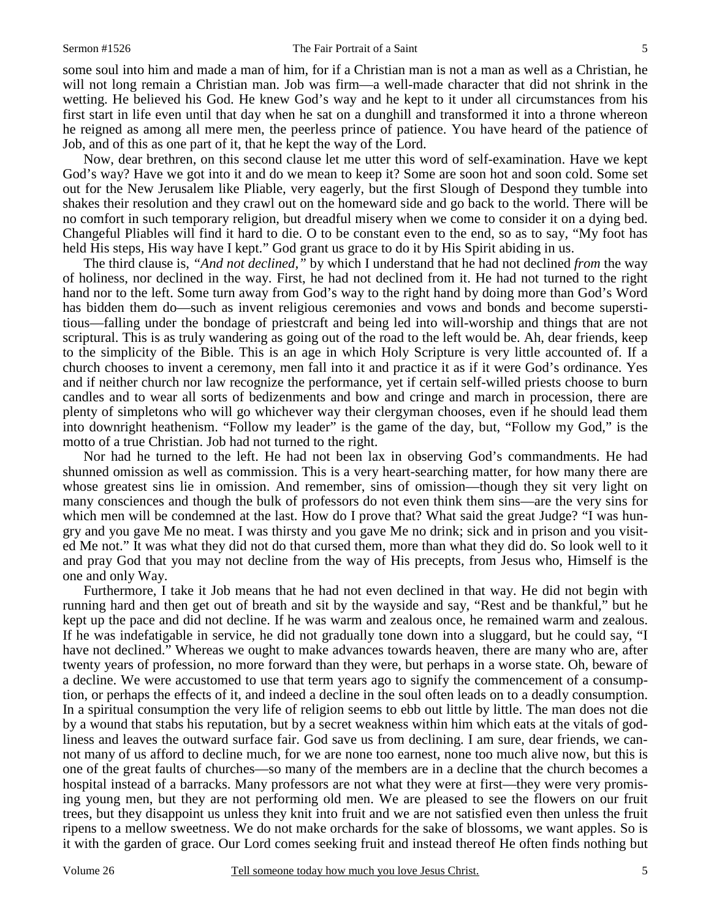some soul into him and made a man of him, for if a Christian man is not a man as well as a Christian, he will not long remain a Christian man. Job was firm—a well-made character that did not shrink in the wetting. He believed his God. He knew God's way and he kept to it under all circumstances from his first start in life even until that day when he sat on a dunghill and transformed it into a throne whereon he reigned as among all mere men, the peerless prince of patience. You have heard of the patience of Job, and of this as one part of it, that he kept the way of the Lord.

 Now, dear brethren, on this second clause let me utter this word of self-examination. Have we kept God's way? Have we got into it and do we mean to keep it? Some are soon hot and soon cold. Some set out for the New Jerusalem like Pliable, very eagerly, but the first Slough of Despond they tumble into shakes their resolution and they crawl out on the homeward side and go back to the world. There will be no comfort in such temporary religion, but dreadful misery when we come to consider it on a dying bed. Changeful Pliables will find it hard to die. O to be constant even to the end, so as to say, "My foot has held His steps, His way have I kept." God grant us grace to do it by His Spirit abiding in us.

 The third clause is, *"And not declined,"* by which I understand that he had not declined *from* the way of holiness, nor declined in the way. First, he had not declined from it. He had not turned to the right hand nor to the left. Some turn away from God's way to the right hand by doing more than God's Word has bidden them do—such as invent religious ceremonies and vows and bonds and become superstitious—falling under the bondage of priestcraft and being led into will-worship and things that are not scriptural. This is as truly wandering as going out of the road to the left would be. Ah, dear friends, keep to the simplicity of the Bible. This is an age in which Holy Scripture is very little accounted of. If a church chooses to invent a ceremony, men fall into it and practice it as if it were God's ordinance. Yes and if neither church nor law recognize the performance, yet if certain self-willed priests choose to burn candles and to wear all sorts of bedizenments and bow and cringe and march in procession, there are plenty of simpletons who will go whichever way their clergyman chooses, even if he should lead them into downright heathenism. "Follow my leader" is the game of the day, but, "Follow my God," is the motto of a true Christian. Job had not turned to the right.

 Nor had he turned to the left. He had not been lax in observing God's commandments. He had shunned omission as well as commission. This is a very heart-searching matter, for how many there are whose greatest sins lie in omission. And remember, sins of omission—though they sit very light on many consciences and though the bulk of professors do not even think them sins—are the very sins for which men will be condemned at the last. How do I prove that? What said the great Judge? "I was hungry and you gave Me no meat. I was thirsty and you gave Me no drink; sick and in prison and you visited Me not." It was what they did not do that cursed them, more than what they did do. So look well to it and pray God that you may not decline from the way of His precepts, from Jesus who, Himself is the one and only Way.

 Furthermore, I take it Job means that he had not even declined in that way. He did not begin with running hard and then get out of breath and sit by the wayside and say, "Rest and be thankful," but he kept up the pace and did not decline. If he was warm and zealous once, he remained warm and zealous. If he was indefatigable in service, he did not gradually tone down into a sluggard, but he could say, "I have not declined." Whereas we ought to make advances towards heaven, there are many who are, after twenty years of profession, no more forward than they were, but perhaps in a worse state. Oh, beware of a decline. We were accustomed to use that term years ago to signify the commencement of a consumption, or perhaps the effects of it, and indeed a decline in the soul often leads on to a deadly consumption. In a spiritual consumption the very life of religion seems to ebb out little by little. The man does not die by a wound that stabs his reputation, but by a secret weakness within him which eats at the vitals of godliness and leaves the outward surface fair. God save us from declining. I am sure, dear friends, we cannot many of us afford to decline much, for we are none too earnest, none too much alive now, but this is one of the great faults of churches—so many of the members are in a decline that the church becomes a hospital instead of a barracks. Many professors are not what they were at first—they were very promising young men, but they are not performing old men. We are pleased to see the flowers on our fruit trees, but they disappoint us unless they knit into fruit and we are not satisfied even then unless the fruit ripens to a mellow sweetness. We do not make orchards for the sake of blossoms, we want apples. So is it with the garden of grace. Our Lord comes seeking fruit and instead thereof He often finds nothing but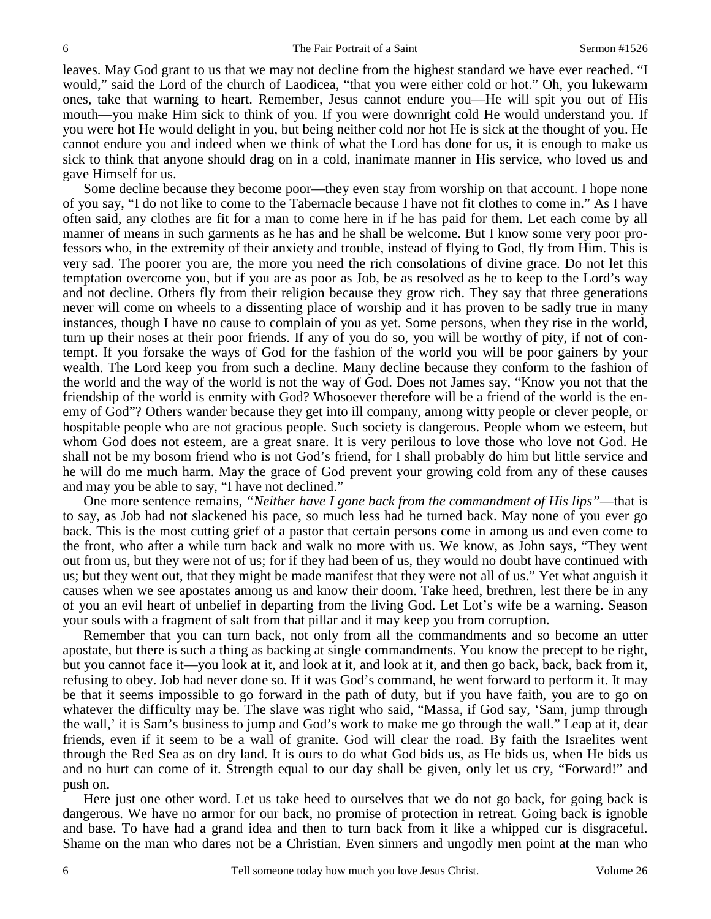leaves. May God grant to us that we may not decline from the highest standard we have ever reached. "I would," said the Lord of the church of Laodicea, "that you were either cold or hot." Oh, you lukewarm ones, take that warning to heart. Remember, Jesus cannot endure you—He will spit you out of His mouth—you make Him sick to think of you. If you were downright cold He would understand you. If you were hot He would delight in you, but being neither cold nor hot He is sick at the thought of you. He cannot endure you and indeed when we think of what the Lord has done for us, it is enough to make us sick to think that anyone should drag on in a cold, inanimate manner in His service, who loved us and gave Himself for us.

 Some decline because they become poor—they even stay from worship on that account. I hope none of you say, "I do not like to come to the Tabernacle because I have not fit clothes to come in." As I have often said, any clothes are fit for a man to come here in if he has paid for them. Let each come by all manner of means in such garments as he has and he shall be welcome. But I know some very poor professors who, in the extremity of their anxiety and trouble, instead of flying to God, fly from Him. This is very sad. The poorer you are, the more you need the rich consolations of divine grace. Do not let this temptation overcome you, but if you are as poor as Job, be as resolved as he to keep to the Lord's way and not decline. Others fly from their religion because they grow rich. They say that three generations never will come on wheels to a dissenting place of worship and it has proven to be sadly true in many instances, though I have no cause to complain of you as yet. Some persons, when they rise in the world, turn up their noses at their poor friends. If any of you do so, you will be worthy of pity, if not of contempt. If you forsake the ways of God for the fashion of the world you will be poor gainers by your wealth. The Lord keep you from such a decline. Many decline because they conform to the fashion of the world and the way of the world is not the way of God. Does not James say, "Know you not that the friendship of the world is enmity with God? Whosoever therefore will be a friend of the world is the enemy of God"? Others wander because they get into ill company, among witty people or clever people, or hospitable people who are not gracious people. Such society is dangerous. People whom we esteem, but whom God does not esteem, are a great snare. It is very perilous to love those who love not God. He shall not be my bosom friend who is not God's friend, for I shall probably do him but little service and he will do me much harm. May the grace of God prevent your growing cold from any of these causes and may you be able to say, "I have not declined."

 One more sentence remains, *"Neither have I gone back from the commandment of His lips"*—that is to say, as Job had not slackened his pace, so much less had he turned back. May none of you ever go back. This is the most cutting grief of a pastor that certain persons come in among us and even come to the front, who after a while turn back and walk no more with us. We know, as John says, "They went out from us, but they were not of us; for if they had been of us, they would no doubt have continued with us; but they went out, that they might be made manifest that they were not all of us." Yet what anguish it causes when we see apostates among us and know their doom. Take heed, brethren, lest there be in any of you an evil heart of unbelief in departing from the living God. Let Lot's wife be a warning. Season your souls with a fragment of salt from that pillar and it may keep you from corruption.

 Remember that you can turn back, not only from all the commandments and so become an utter apostate, but there is such a thing as backing at single commandments. You know the precept to be right, but you cannot face it—you look at it, and look at it, and look at it, and then go back, back, back from it, refusing to obey. Job had never done so. If it was God's command, he went forward to perform it. It may be that it seems impossible to go forward in the path of duty, but if you have faith, you are to go on whatever the difficulty may be. The slave was right who said, "Massa, if God say, 'Sam, jump through the wall,' it is Sam's business to jump and God's work to make me go through the wall." Leap at it, dear friends, even if it seem to be a wall of granite. God will clear the road. By faith the Israelites went through the Red Sea as on dry land. It is ours to do what God bids us, as He bids us, when He bids us and no hurt can come of it. Strength equal to our day shall be given, only let us cry, "Forward!" and push on.

 Here just one other word. Let us take heed to ourselves that we do not go back, for going back is dangerous. We have no armor for our back, no promise of protection in retreat. Going back is ignoble and base. To have had a grand idea and then to turn back from it like a whipped cur is disgraceful. Shame on the man who dares not be a Christian. Even sinners and ungodly men point at the man who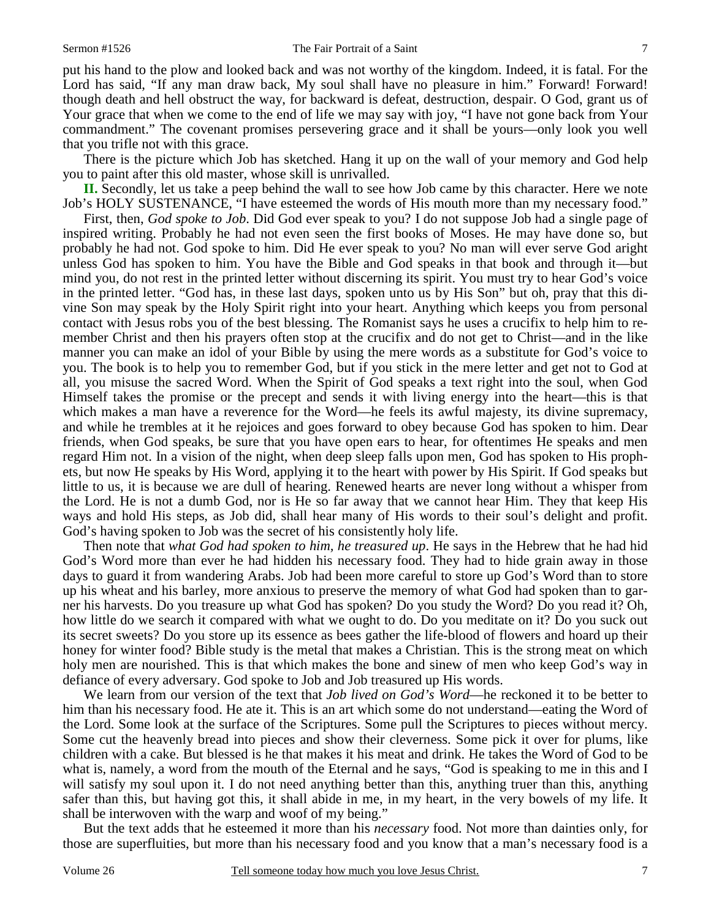put his hand to the plow and looked back and was not worthy of the kingdom. Indeed, it is fatal. For the Lord has said, "If any man draw back, My soul shall have no pleasure in him." Forward! Forward! though death and hell obstruct the way, for backward is defeat, destruction, despair. O God, grant us of Your grace that when we come to the end of life we may say with joy, "I have not gone back from Your commandment." The covenant promises persevering grace and it shall be yours—only look you well that you trifle not with this grace.

 There is the picture which Job has sketched. Hang it up on the wall of your memory and God help you to paint after this old master, whose skill is unrivalled.

**II.** Secondly, let us take a peep behind the wall to see how Job came by this character. Here we note Job's HOLY SUSTENANCE, "I have esteemed the words of His mouth more than my necessary food."

 First, then, *God spoke to Job*. Did God ever speak to you? I do not suppose Job had a single page of inspired writing. Probably he had not even seen the first books of Moses. He may have done so, but probably he had not. God spoke to him. Did He ever speak to you? No man will ever serve God aright unless God has spoken to him. You have the Bible and God speaks in that book and through it—but mind you, do not rest in the printed letter without discerning its spirit. You must try to hear God's voice in the printed letter. "God has, in these last days, spoken unto us by His Son" but oh, pray that this divine Son may speak by the Holy Spirit right into your heart. Anything which keeps you from personal contact with Jesus robs you of the best blessing. The Romanist says he uses a crucifix to help him to remember Christ and then his prayers often stop at the crucifix and do not get to Christ—and in the like manner you can make an idol of your Bible by using the mere words as a substitute for God's voice to you. The book is to help you to remember God, but if you stick in the mere letter and get not to God at all, you misuse the sacred Word. When the Spirit of God speaks a text right into the soul, when God Himself takes the promise or the precept and sends it with living energy into the heart—this is that which makes a man have a reverence for the Word—he feels its awful majesty, its divine supremacy, and while he trembles at it he rejoices and goes forward to obey because God has spoken to him. Dear friends, when God speaks, be sure that you have open ears to hear, for oftentimes He speaks and men regard Him not. In a vision of the night, when deep sleep falls upon men, God has spoken to His prophets, but now He speaks by His Word, applying it to the heart with power by His Spirit. If God speaks but little to us, it is because we are dull of hearing. Renewed hearts are never long without a whisper from the Lord. He is not a dumb God, nor is He so far away that we cannot hear Him. They that keep His ways and hold His steps, as Job did, shall hear many of His words to their soul's delight and profit. God's having spoken to Job was the secret of his consistently holy life.

 Then note that *what God had spoken to him, he treasured up*. He says in the Hebrew that he had hid God's Word more than ever he had hidden his necessary food. They had to hide grain away in those days to guard it from wandering Arabs. Job had been more careful to store up God's Word than to store up his wheat and his barley, more anxious to preserve the memory of what God had spoken than to garner his harvests. Do you treasure up what God has spoken? Do you study the Word? Do you read it? Oh, how little do we search it compared with what we ought to do. Do you meditate on it? Do you suck out its secret sweets? Do you store up its essence as bees gather the life-blood of flowers and hoard up their honey for winter food? Bible study is the metal that makes a Christian. This is the strong meat on which holy men are nourished. This is that which makes the bone and sinew of men who keep God's way in defiance of every adversary. God spoke to Job and Job treasured up His words.

 We learn from our version of the text that *Job lived on God's Word*—he reckoned it to be better to him than his necessary food. He ate it. This is an art which some do not understand—eating the Word of the Lord. Some look at the surface of the Scriptures. Some pull the Scriptures to pieces without mercy. Some cut the heavenly bread into pieces and show their cleverness. Some pick it over for plums, like children with a cake. But blessed is he that makes it his meat and drink. He takes the Word of God to be what is, namely, a word from the mouth of the Eternal and he says, "God is speaking to me in this and I will satisfy my soul upon it. I do not need anything better than this, anything truer than this, anything safer than this, but having got this, it shall abide in me, in my heart, in the very bowels of my life. It shall be interwoven with the warp and woof of my being."

 But the text adds that he esteemed it more than his *necessary* food. Not more than dainties only, for those are superfluities, but more than his necessary food and you know that a man's necessary food is a